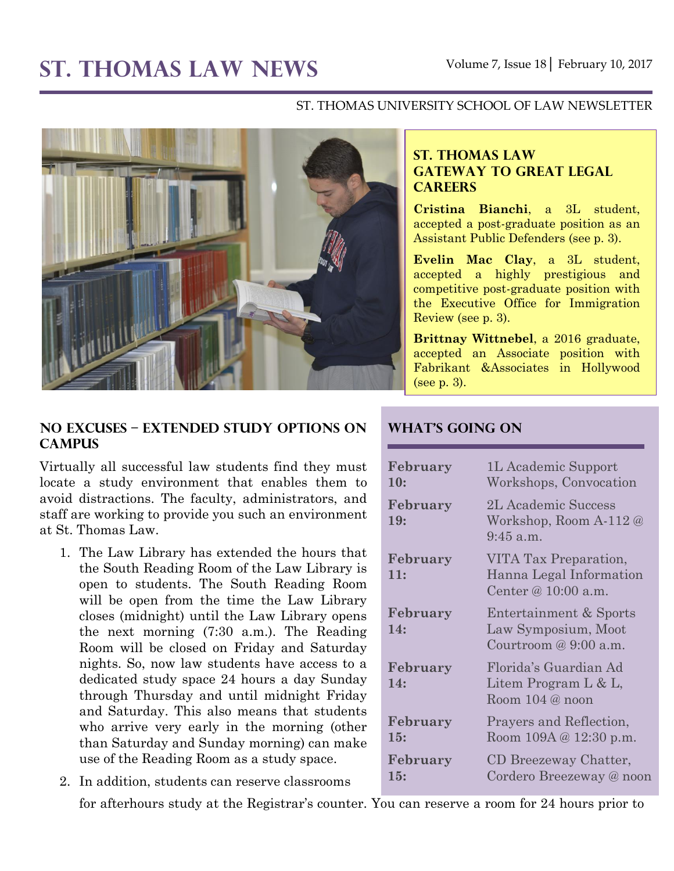# ST. THOMAS LAW NEWS Volume 7, Issue 18 February 10, 2017

#### ST. THOMAS UNIVERSITY SCHOOL OF LAW NEWSLETTER



## **ST. THOMAS LAW GATEWAY TO GREAT LEGAL CAREERS**

**Cristina Bianchi**, a 3L student, accepted a post-graduate position as an Assistant Public Defenders (see p. 3).

**Evelin Mac Clay**, a 3L student, accepted a highly prestigious and competitive post-graduate position with the Executive Office for Immigration Review (see p. 3).

**Brittnay Wittnebel**, a 2016 graduate, accepted an Associate position with Fabrikant &Associates in Hollywood (see p. 3).

### **No Excuses – Extended Study Options on Campus**

Virtually all successful law students find they must locate a study environment that enables them to avoid distractions. The faculty, administrators, and staff are working to provide you such an environment at St. Thomas Law.

- 1. The Law Library has extended the hours that the South Reading Room of the Law Library is open to students. The South Reading Room will be open from the time the Law Library closes (midnight) until the Law Library opens the next morning (7:30 a.m.). The Reading Room will be closed on Friday and Saturday nights. So, now law students have access to a dedicated study space 24 hours a day Sunday through Thursday and until midnight Friday and Saturday. This also means that students who arrive very early in the morning (other than Saturday and Sunday morning) can make use of the Reading Room as a study space.
- 2. In addition, students can reserve classrooms

**What's Going On**

| February<br>10: | 1L Academic Support<br>Workshops, Convocation                             |
|-----------------|---------------------------------------------------------------------------|
| February<br>19: | 2L Academic Success<br>Workshop, Room A-112 @<br>$9:45$ a.m.              |
| February<br>11: | VITA Tax Preparation,<br>Hanna Legal Information<br>Center @ $10:00$ a.m. |
| February<br>14: | Entertainment & Sports<br>Law Symposium, Moot<br>Courtroom $@9:00$ a.m.   |
| February<br>14: | Florida's Guardian Ad<br>Litem Program L & L,<br>Room 104 @ noon          |
| February<br>15: | Prayers and Reflection,<br>Room 109A @ 12:30 p.m.                         |
| February<br>15: | CD Breezeway Chatter,<br>Cordero Breezeway @ noon                         |

for afterhours study at the Registrar's counter. You can reserve a room for 24 hours prior to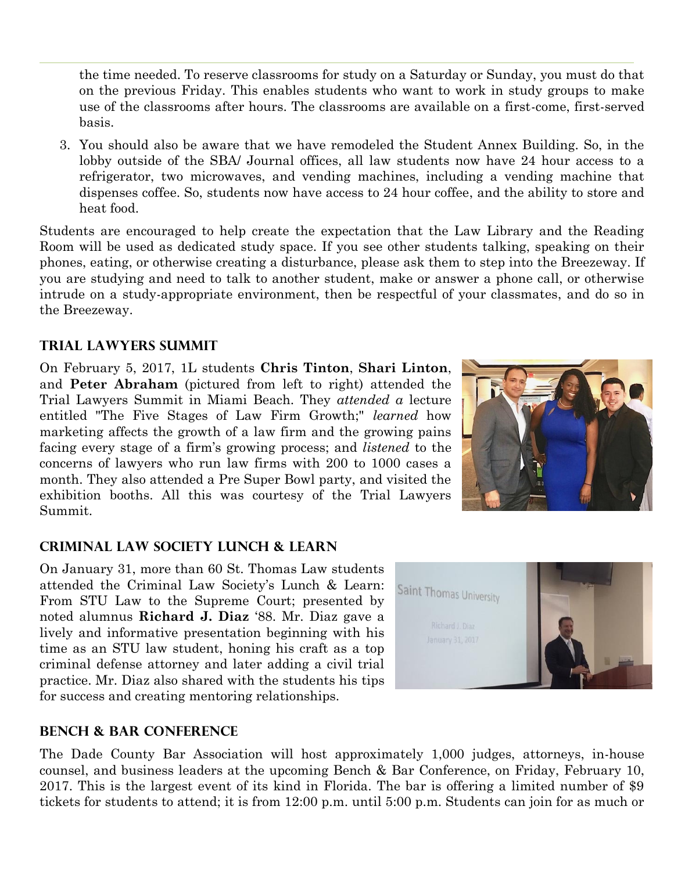the time needed. To reserve classrooms for study on a Saturday or Sunday, you must do that on the previous Friday. This enables students who want to work in study groups to make use of the classrooms after hours. The classrooms are available on a first-come, first-served basis.

3. You should also be aware that we have remodeled the Student Annex Building. So, in the lobby outside of the SBA/ Journal offices, all law students now have 24 hour access to a refrigerator, two microwaves, and vending machines, including a vending machine that dispenses coffee. So, students now have access to 24 hour coffee, and the ability to store and heat food.

Students are encouraged to help create the expectation that the Law Library and the Reading Room will be used as dedicated study space. If you see other students talking, speaking on their phones, eating, or otherwise creating a disturbance, please ask them to step into the Breezeway. If you are studying and need to talk to another student, make or answer a phone call, or otherwise intrude on a study-appropriate environment, then be respectful of your classmates, and do so in the Breezeway.

# **Trial Lawyers Summit**

On February 5, 2017, 1L students **Chris Tinton**, **Shari Linton**, and **Peter Abraham** (pictured from left to right) attended the Trial Lawyers Summit in Miami Beach. They *attended a* lecture entitled "The Five Stages of Law Firm Growth;" *learned* how marketing affects the growth of a law firm and the growing pains facing every stage of a firm's growing process; and *listened* to the concerns of lawyers who run law firms with 200 to 1000 cases a month. They also attended a Pre Super Bowl party, and visited the exhibition booths. All this was courtesy of the Trial Lawyers Summit.



# **Criminal Law Society Lunch & Learn**

On January 31, more than 60 St. Thomas Law students attended the Criminal Law Society's Lunch & Learn: From STU Law to the Supreme Court; presented by noted alumnus **Richard J. Diaz** '88. Mr. Diaz gave a lively and informative presentation beginning with his time as an STU law student, honing his craft as a top criminal defense attorney and later adding a civil trial practice. Mr. Diaz also shared with the students his tips for success and creating mentoring relationships.



#### **Bench & Bar Conference**

The Dade County Bar Association will host approximately 1,000 judges, attorneys, in-house counsel, and business leaders at the upcoming Bench & Bar Conference, on Friday, February 10, 2017. This is the largest event of its kind in Florida. The bar is offering a limited number of \$9 tickets for students to attend; it is from 12:00 p.m. until 5:00 p.m. Students can join for as much or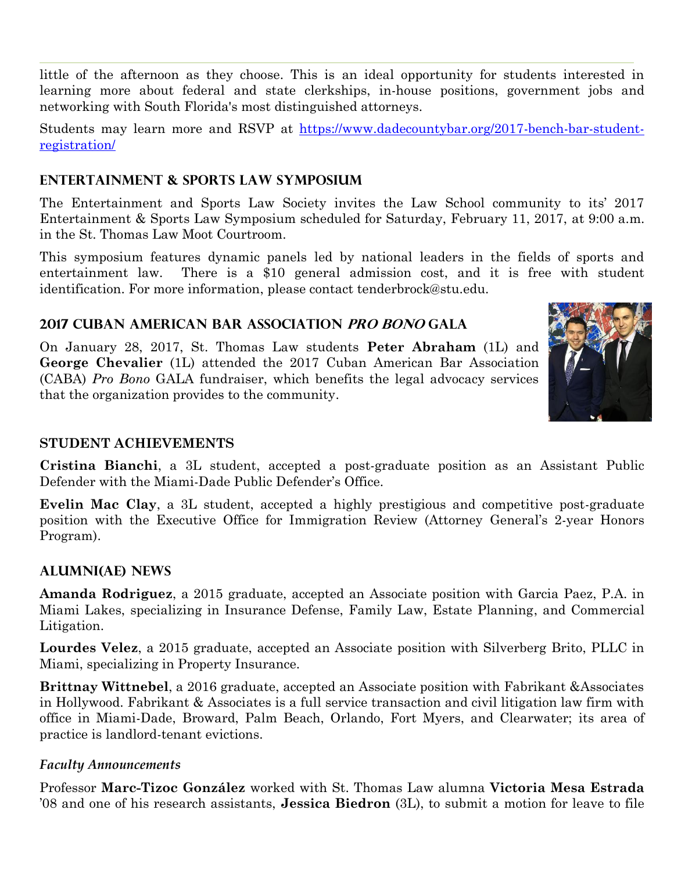little of the afternoon as they choose. This is an ideal opportunity for students interested in learning more about federal and state clerkships, in-house positions, government jobs and networking with South Florida's most distinguished attorneys.

Students may learn more and RSVP at [https://www.dadecountybar.org/2017-bench-bar-student](https://www.dadecountybar.org/2017-bench-bar-student-registration/)[registration/](https://www.dadecountybar.org/2017-bench-bar-student-registration/)

# **Entertainment & Sports Law Symposium**

The Entertainment and Sports Law Society invites the Law School community to its' 2017 Entertainment & Sports Law Symposium scheduled for Saturday, February 11, 2017, at 9:00 a.m. in the St. Thomas Law Moot Courtroom.

This symposium features dynamic panels led by national leaders in the fields of sports and entertainment law. There is a \$10 general admission cost, and it is free with student identification. For more information, please contact tenderbrock@stu.edu.

# **2017 Cuban American bar Association Pro Bono Gala**

On January 28, 2017, St. Thomas Law students **Peter Abraham** (1L) and **George Chevalier** (1L) attended the 2017 Cuban American Bar Association (CABA) *Pro Bono* GALA fundraiser, which benefits the legal advocacy services that the organization provides to the community.



## **STUDENT ACHIEVEMENTS**

**Cristina Bianchi**, a 3L student, accepted a post-graduate position as an Assistant Public Defender with the Miami-Dade Public Defender's Office.

**Evelin Mac Clay**, a 3L student, accepted a highly prestigious and competitive post-graduate position with the Executive Office for Immigration Review (Attorney General's 2-year Honors Program).

## **ALUMNI(AE) NEWS**

**Amanda Rodriguez**, a 2015 graduate, accepted an Associate position with Garcia Paez, P.A. in Miami Lakes, specializing in Insurance Defense, Family Law, Estate Planning, and Commercial Litigation.

**Lourdes Velez**, a 2015 graduate, accepted an Associate position with Silverberg Brito, PLLC in Miami, specializing in Property Insurance.

**Brittnay Wittnebel**, a 2016 graduate, accepted an Associate position with Fabrikant &Associates in Hollywood. Fabrikant & Associates is a full service transaction and civil litigation law firm with office in Miami-Dade, Broward, Palm Beach, Orlando, Fort Myers, and Clearwater; its area of practice is landlord-tenant evictions.

## *Faculty Announcements*

Professor **Marc-Tizoc González** worked with St. Thomas Law alumna **Victoria Mesa Estrada** '08 and one of his research assistants, **Jessica Biedron** (3L), to submit a motion for leave to file